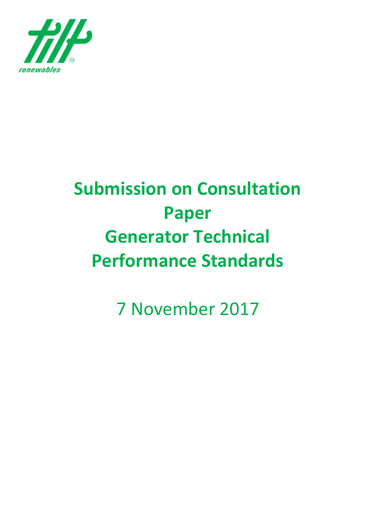

# **Submission on Consultation Paper Generator Technical Performance Standards**

7 November 2017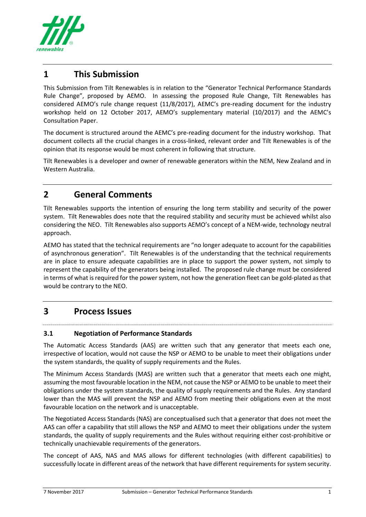

# **1 This Submission**

This Submission from Tilt Renewables is in relation to the "Generator Technical Performance Standards Rule Change", proposed by AEMO. In assessing the proposed Rule Change, Tilt Renewables has considered AEMO's rule change request (11/8/2017), AEMC's pre-reading document for the industry workshop held on 12 October 2017, AEMO's supplementary material (10/2017) and the AEMC's Consultation Paper.

The document is structured around the AEMC's pre-reading document for the industry workshop. That document collects all the crucial changes in a cross-linked, relevant order and Tilt Renewables is of the opinion that its response would be most coherent in following that structure.

Tilt Renewables is a developer and owner of renewable generators within the NEM, New Zealand and in Western Australia.

## **2 General Comments**

Tilt Renewables supports the intention of ensuring the long term stability and security of the power system. Tilt Renewables does note that the required stability and security must be achieved whilst also considering the NEO. Tilt Renewables also supports AEMO's concept of a NEM-wide, technology neutral approach.

AEMO has stated that the technical requirements are "no longer adequate to account for the capabilities of asynchronous generation". Tilt Renewables is of the understanding that the technical requirements are in place to ensure adequate capabilities are in place to support the power system, not simply to represent the capability of the generators being installed. The proposed rule change must be considered in terms of what is required for the power system, not how the generation fleet can be gold-plated as that would be contrary to the NEO.

#### **3 Process Issues**

#### **3.1 Negotiation of Performance Standards**

The Automatic Access Standards (AAS) are written such that any generator that meets each one, irrespective of location, would not cause the NSP or AEMO to be unable to meet their obligations under the system standards, the quality of supply requirements and the Rules.

The Minimum Access Standards (MAS) are written such that a generator that meets each one might, assuming the most favourable location in the NEM, not cause the NSP or AEMO to be unable to meet their obligations under the system standards, the quality of supply requirements and the Rules. Any standard lower than the MAS will prevent the NSP and AEMO from meeting their obligations even at the most favourable location on the network and is unacceptable.

The Negotiated Access Standards (NAS) are conceptualised such that a generator that does not meet the AAS can offer a capability that still allows the NSP and AEMO to meet their obligations under the system standards, the quality of supply requirements and the Rules without requiring either cost-prohibitive or technically unachievable requirements of the generators.

The concept of AAS, NAS and MAS allows for different technologies (with different capabilities) to successfully locate in different areas of the network that have different requirements for system security.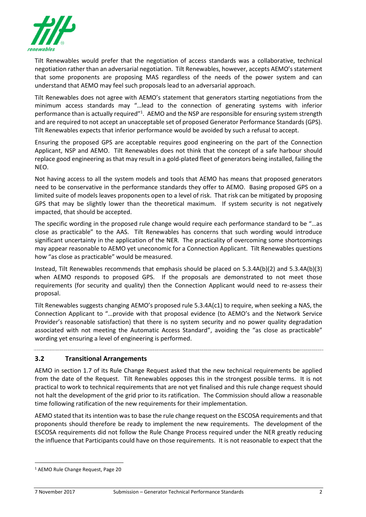

Tilt Renewables would prefer that the negotiation of access standards was a collaborative, technical negotiation rather than an adversarial negotiation. Tilt Renewables, however, accepts AEMO's statement that some proponents are proposing MAS regardless of the needs of the power system and can understand that AEMO may feel such proposals lead to an adversarial approach.

Tilt Renewables does not agree with AEMO's statement that generators starting negotiations from the minimum access standards may "…lead to the connection of generating systems with inferior performance than is actually required"<sup>1</sup>. AEMO and the NSP are responsible for ensuring system strength and are required to not accept an unacceptable set of proposed Generator Performance Standards (GPS). Tilt Renewables expects that inferior performance would be avoided by such a refusal to accept.

Ensuring the proposed GPS are acceptable requires good engineering on the part of the Connection Applicant, NSP and AEMO. Tilt Renewables does not think that the concept of a safe harbour should replace good engineering as that may result in a gold-plated fleet of generators being installed, failing the NEO.

Not having access to all the system models and tools that AEMO has means that proposed generators need to be conservative in the performance standards they offer to AEMO. Basing proposed GPS on a limited suite of models leaves proponents open to a level of risk. That risk can be mitigated by proposing GPS that may be slightly lower than the theoretical maximum. If system security is not negatively impacted, that should be accepted.

The specific wording in the proposed rule change would require each performance standard to be "…as close as practicable" to the AAS. Tilt Renewables has concerns that such wording would introduce significant uncertainty in the application of the NER. The practicality of overcoming some shortcomings may appear reasonable to AEMO yet uneconomic for a Connection Applicant. Tilt Renewables questions how "as close as practicable" would be measured.

Instead, Tilt Renewables recommends that emphasis should be placed on 5.3.4A(b)(2) and 5.3.4A(b)(3) when AEMO responds to proposed GPS. If the proposals are demonstrated to not meet those requirements (for security and quality) then the Connection Applicant would need to re-assess their proposal.

Tilt Renewables suggests changing AEMO's proposed rule 5.3.4A(c1) to require, when seeking a NAS, the Connection Applicant to "…provide with that proposal evidence (to AEMO's and the Network Service Provider's reasonable satisfaction) that there is no system security and no power quality degradation associated with not meeting the Automatic Access Standard", avoiding the "as close as practicable" wording yet ensuring a level of engineering is performed.

#### **3.2 Transitional Arrangements**

AEMO in section 1.7 of its Rule Change Request asked that the new technical requirements be applied from the date of the Request. Tilt Renewables opposes this in the strongest possible terms. It is not practical to work to technical requirements that are not yet finalised and this rule change request should not halt the development of the grid prior to its ratification. The Commission should allow a reasonable time following ratification of the new requirements for their implementation.

AEMO stated that its intention was to base the rule change request on the ESCOSA requirements and that proponents should therefore be ready to implement the new requirements. The development of the ESCOSA requirements did not follow the Rule Change Process required under the NER greatly reducing the influence that Participants could have on those requirements. It is not reasonable to expect that the

1

<sup>1</sup> AEMO Rule Change Request, Page 20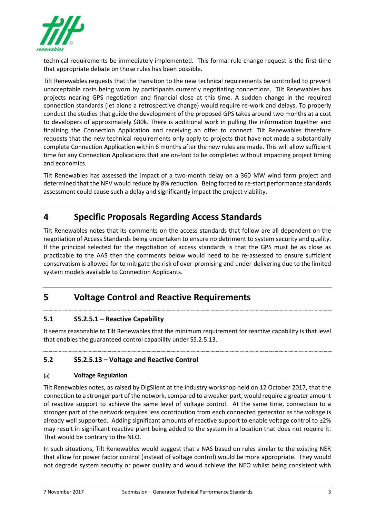

technical requirements be immediately implemented. This formal rule change request is the first time that appropriate debate on those rules has been possible.

Tilt Renewables requests that the transition to the new technical requirements be controlled to prevent unacceptable costs being worn by participants currently negotiating connections. Tilt Renewables has projects nearing GPS negotiation and financial close at this time. A sudden change in the required connection standards (let alone a retrospective change) would require re-work and delays. To properly conduct the studies that guide the development of the proposed GPS takes around two months at a cost to developers of approximately \$80k. There is additional work in pulling the information together and finalising the Connection Application and receiving an offer to connect. Tilt Renewables therefore requests that the new technical requirements only apply to projects that have not made a substantially complete Connection Application within 6 months after the new rules are made. This will allow sufficient time for any Connection Applications that are on-foot to be completed without impacting project timing and economics.

Tilt Renewables has assessed the impact of a two-month delay on a 360 MW wind farm project and determined that the NPV would reduce by 8% reduction. Being forced to re-start performance standards assessment could cause such a delay and significantly impact the project viability.

## **4 Specific Proposals Regarding Access Standards**

Tilt Renewables notes that its comments on the access standards that follow are all dependent on the negotiation of Access Standards being undertaken to ensure no detriment to system security and quality. If the principal selected for the negotiation of access standards is that the GPS must be as close as practicable to the AAS then the comments below would need to be re-assessed to ensure sufficient conservatism is allowed for to mitigate the risk of over-promising and under-delivering due to the limited system models available to Connection Applicants.

# **5 Voltage Control and Reactive Requirements**

#### **5.1 S5.2.5.1 – Reactive Capability**

It seems reasonable to Tilt Renewables that the minimum requirement for reactive capability is that level that enables the guaranteed control capability under S5.2.5.13.

#### **5.2 S5.2.5.13 – Voltage and Reactive Control**

#### **(a) Voltage Regulation**

Tilt Renewables notes, as raised by DigSilent at the industry workshop held on 12 October 2017, that the connection to a stronger part of the network, compared to a weaker part, would require a greater amount of reactive support to achieve the same level of voltage control. At the same time, connection to a stronger part of the network requires less contribution from each connected generator as the voltage is already well supported. Adding significant amounts of reactive support to enable voltage control to ±2% may result in significant reactive plant being added to the system in a location that does not require it. That would be contrary to the NEO.

In such situations, Tilt Renewables would suggest that a NAS based on rules similar to the existing NER that allow for power factor control (instead of voltage control) would be more appropriate. They would not degrade system security or power quality and would achieve the NEO whilst being consistent with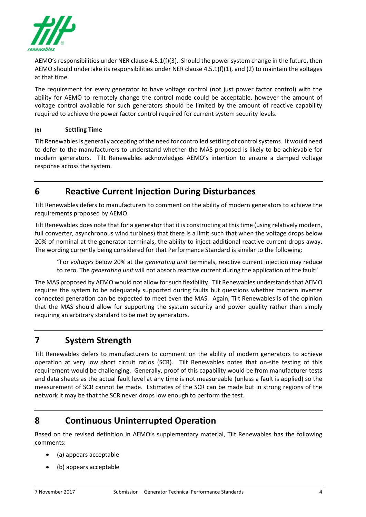

AEMO's responsibilities under NER clause 4.5.1(f)(3). Should the power system change in the future, then AEMO should undertake its responsibilities under NER clause 4.5.1(f)(1), and (2) to maintain the voltages at that time.

The requirement for every generator to have voltage control (not just power factor control) with the ability for AEMO to remotely change the control mode could be acceptable, however the amount of voltage control available for such generators should be limited by the amount of reactive capability required to achieve the power factor control required for current system security levels.

#### **(b) Settling Time**

Tilt Renewables is generally accepting of the need for controlled settling of control systems. It would need to defer to the manufacturers to understand whether the MAS proposed is likely to be achievable for modern generators. Tilt Renewables acknowledges AEMO's intention to ensure a damped voltage response across the system.

## **6 Reactive Current Injection During Disturbances**

Tilt Renewables defers to manufacturers to comment on the ability of modern generators to achieve the requirements proposed by AEMO.

Tilt Renewables does note that for a generator that it is constructing at this time (using relatively modern, full converter, asynchronous wind turbines) that there is a limit such that when the voltage drops below 20% of nominal at the generator terminals, the ability to inject additional reactive current drops away. The wording currently being considered for that Performance Standard is similar to the following:

"For *voltages* below 20% at the *generating unit* terminals, reactive current injection may reduce to zero. The *generating unit* will not absorb reactive current during the application of the fault"

The MAS proposed by AEMO would not allow for such flexibility. Tilt Renewables understands that AEMO requires the system to be adequately supported during faults but questions whether modern inverter connected generation can be expected to meet even the MAS. Again, Tilt Renewables is of the opinion that the MAS should allow for supporting the system security and power quality rather than simply requiring an arbitrary standard to be met by generators.

## **7 System Strength**

Tilt Renewables defers to manufacturers to comment on the ability of modern generators to achieve operation at very low short circuit ratios (SCR). Tilt Renewables notes that on-site testing of this requirement would be challenging. Generally, proof of this capability would be from manufacturer tests and data sheets as the actual fault level at any time is not measureable (unless a fault is applied) so the measurement of SCR cannot be made. Estimates of the SCR can be made but in strong regions of the network it may be that the SCR never drops low enough to perform the test.

#### **8 Continuous Uninterrupted Operation**

Based on the revised definition in AEMO's supplementary material, Tilt Renewables has the following comments:

- (a) appears acceptable
- (b) appears acceptable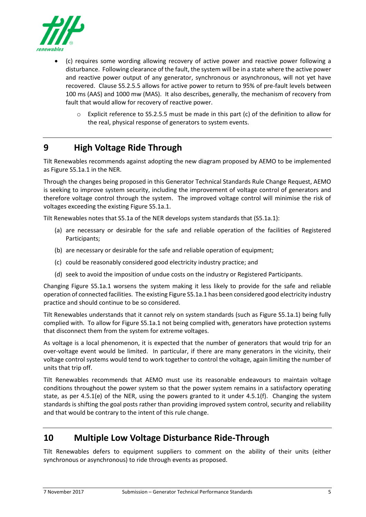

- (c) requires some wording allowing recovery of active power and reactive power following a disturbance. Following clearance of the fault, the system will be in a state where the active power and reactive power output of any generator, synchronous or asynchronous, will not yet have recovered. Clause S5.2.5.5 allows for active power to return to 95% of pre-fault levels between 100 ms (AAS) and 1000 mw (MAS). It also describes, generally, the mechanism of recovery from fault that would allow for recovery of reactive power.
	- $\circ$  Explicit reference to S5.2.5.5 must be made in this part (c) of the definition to allow for the real, physical response of generators to system events.

# **9 High Voltage Ride Through**

Tilt Renewables recommends against adopting the new diagram proposed by AEMO to be implemented as Figure S5.1a.1 in the NER.

Through the changes being proposed in this Generator Technical Standards Rule Change Request, AEMO is seeking to improve system security, including the improvement of voltage control of generators and therefore voltage control through the system. The improved voltage control will minimise the risk of voltages exceeding the existing Figure S5.1a.1.

Tilt Renewables notes that S5.1a of the NER develops system standards that (S5.1a.1):

- (a) are necessary or desirable for the safe and reliable operation of the facilities of Registered Participants;
- (b) are necessary or desirable for the safe and reliable operation of equipment;
- (c) could be reasonably considered good electricity industry practice; and
- (d) seek to avoid the imposition of undue costs on the industry or Registered Participants.

Changing Figure S5.1a.1 worsens the system making it less likely to provide for the safe and reliable operation of connected facilities. The existing Figure S5.1a.1 has been considered good electricity industry practice and should continue to be so considered.

Tilt Renewables understands that it cannot rely on system standards (such as Figure S5.1a.1) being fully complied with. To allow for Figure S5.1a.1 not being complied with, generators have protection systems that disconnect them from the system for extreme voltages.

As voltage is a local phenomenon, it is expected that the number of generators that would trip for an over-voltage event would be limited. In particular, if there are many generators in the vicinity, their voltage control systems would tend to work together to control the voltage, again limiting the number of units that trip off.

Tilt Renewables recommends that AEMO must use its reasonable endeavours to maintain voltage conditions throughout the power system so that the power system remains in a satisfactory operating state, as per 4.5.1(e) of the NER, using the powers granted to it under 4.5.1(f). Changing the system standards is shifting the goal posts rather than providing improved system control, security and reliability and that would be contrary to the intent of this rule change.

## **10 Multiple Low Voltage Disturbance Ride-Through**

Tilt Renewables defers to equipment suppliers to comment on the ability of their units (either synchronous or asynchronous) to ride through events as proposed.